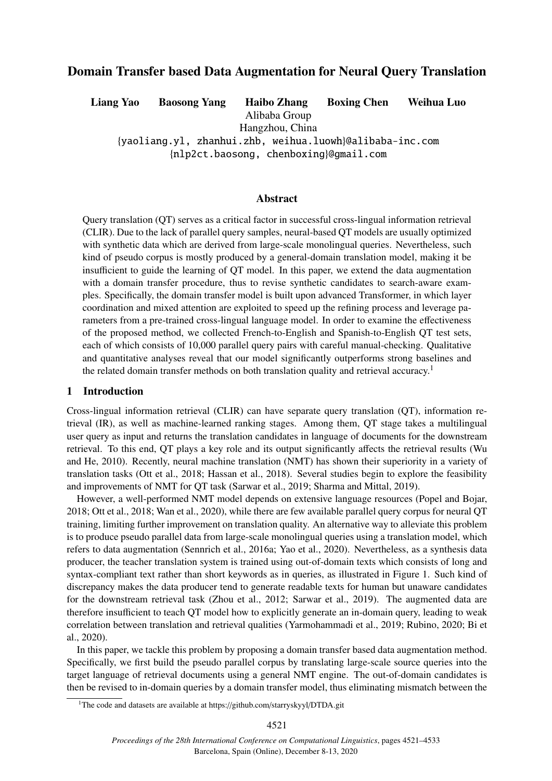# Domain Transfer based Data Augmentation for Neural Query Translation

Liang Yao Baosong Yang Haibo Zhang Boxing Chen Weihua Luo

Alibaba Group

Hangzhou, China

{yaoliang.yl, zhanhui.zhb, weihua.luowh}@alibaba-inc.com

{nlp2ct.baosong, chenboxing}@gmail.com

### Abstract

Query translation (QT) serves as a critical factor in successful cross-lingual information retrieval (CLIR). Due to the lack of parallel query samples, neural-based QT models are usually optimized with synthetic data which are derived from large-scale monolingual queries. Nevertheless, such kind of pseudo corpus is mostly produced by a general-domain translation model, making it be insufficient to guide the learning of QT model. In this paper, we extend the data augmentation with a domain transfer procedure, thus to revise synthetic candidates to search-aware examples. Specifically, the domain transfer model is built upon advanced Transformer, in which layer coordination and mixed attention are exploited to speed up the refining process and leverage parameters from a pre-trained cross-lingual language model. In order to examine the effectiveness of the proposed method, we collected French-to-English and Spanish-to-English QT test sets, each of which consists of 10,000 parallel query pairs with careful manual-checking. Qualitative and quantitative analyses reveal that our model significantly outperforms strong baselines and the related domain transfer methods on both translation quality and retrieval accuracy.<sup>1</sup>

### 1 Introduction

Cross-lingual information retrieval (CLIR) can have separate query translation (QT), information retrieval (IR), as well as machine-learned ranking stages. Among them, QT stage takes a multilingual user query as input and returns the translation candidates in language of documents for the downstream retrieval. To this end, QT plays a key role and its output significantly affects the retrieval results (Wu and He, 2010). Recently, neural machine translation (NMT) has shown their superiority in a variety of translation tasks (Ott et al., 2018; Hassan et al., 2018). Several studies begin to explore the feasibility and improvements of NMT for QT task (Sarwar et al., 2019; Sharma and Mittal, 2019).

However, a well-performed NMT model depends on extensive language resources (Popel and Bojar, 2018; Ott et al., 2018; Wan et al., 2020), while there are few available parallel query corpus for neural QT training, limiting further improvement on translation quality. An alternative way to alleviate this problem is to produce pseudo parallel data from large-scale monolingual queries using a translation model, which refers to data augmentation (Sennrich et al., 2016a; Yao et al., 2020). Nevertheless, as a synthesis data producer, the teacher translation system is trained using out-of-domain texts which consists of long and syntax-compliant text rather than short keywords as in queries, as illustrated in Figure 1. Such kind of discrepancy makes the data producer tend to generate readable texts for human but unaware candidates for the downstream retrieval task (Zhou et al., 2012; Sarwar et al., 2019). The augmented data are therefore insufficient to teach QT model how to explicitly generate an in-domain query, leading to weak correlation between translation and retrieval qualities (Yarmohammadi et al., 2019; Rubino, 2020; Bi et al., 2020).

In this paper, we tackle this problem by proposing a domain transfer based data augmentation method. Specifically, we first build the pseudo parallel corpus by translating large-scale source queries into the target language of retrieval documents using a general NMT engine. The out-of-domain candidates is then be revised to in-domain queries by a domain transfer model, thus eliminating mismatch between the

<sup>&</sup>lt;sup>1</sup>The code and datasets are available at https://github.com/starryskyyl/DTDA.git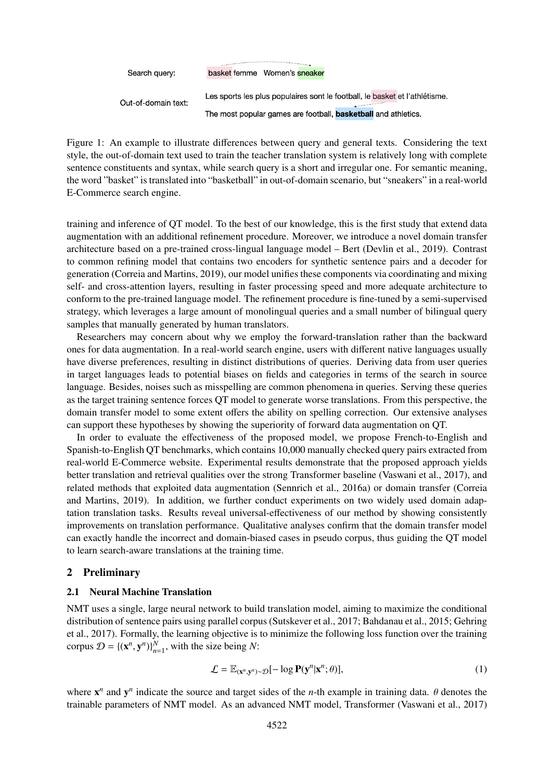Search query:

basket femme Women's sneaker

Out-of-domain text:

Les sports les plus populaires sont le football, le basket et l'athlétisme. The most popular games are football, **basketball** and athletics.

Figure 1: An example to illustrate differences between query and general texts. Considering the text style, the out-of-domain text used to train the teacher translation system is relatively long with complete sentence constituents and syntax, while search query is a short and irregular one. For semantic meaning, the word "basket" is translated into "basketball" in out-of-domain scenario, but "sneakers" in a real-world E-Commerce search engine.

training and inference of QT model. To the best of our knowledge, this is the first study that extend data augmentation with an additional refinement procedure. Moreover, we introduce a novel domain transfer architecture based on a pre-trained cross-lingual language model – Bert (Devlin et al., 2019). Contrast to common refining model that contains two encoders for synthetic sentence pairs and a decoder for generation (Correia and Martins, 2019), our model unifies these components via coordinating and mixing self- and cross-attention layers, resulting in faster processing speed and more adequate architecture to conform to the pre-trained language model. The refinement procedure is fine-tuned by a semi-supervised strategy, which leverages a large amount of monolingual queries and a small number of bilingual query samples that manually generated by human translators.

Researchers may concern about why we employ the forward-translation rather than the backward ones for data augmentation. In a real-world search engine, users with different native languages usually have diverse preferences, resulting in distinct distributions of queries. Deriving data from user queries in target languages leads to potential biases on fields and categories in terms of the search in source language. Besides, noises such as misspelling are common phenomena in queries. Serving these queries as the target training sentence forces QT model to generate worse translations. From this perspective, the domain transfer model to some extent offers the ability on spelling correction. Our extensive analyses can support these hypotheses by showing the superiority of forward data augmentation on QT.

In order to evaluate the effectiveness of the proposed model, we propose French-to-English and Spanish-to-English QT benchmarks, which contains 10,000 manually checked query pairs extracted from real-world E-Commerce website. Experimental results demonstrate that the proposed approach yields better translation and retrieval qualities over the strong Transformer baseline (Vaswani et al., 2017), and related methods that exploited data augmentation (Sennrich et al., 2016a) or domain transfer (Correia and Martins, 2019). In addition, we further conduct experiments on two widely used domain adaptation translation tasks. Results reveal universal-effectiveness of our method by showing consistently improvements on translation performance. Qualitative analyses confirm that the domain transfer model can exactly handle the incorrect and domain-biased cases in pseudo corpus, thus guiding the QT model to learn search-aware translations at the training time.

### 2 Preliminary

### 2.1 Neural Machine Translation

NMT uses a single, large neural network to build translation model, aiming to maximize the conditional distribution of sentence pairs using parallel corpus (Sutskever et al., 2017; Bahdanau et al., 2015; Gehring et al., 2017). Formally, the learning objective is to minimize the following loss function over the training corpus  $\mathcal{D} = \{ (\mathbf{x}^n, \mathbf{y}^n) \}_{n=1}^N$ , with the size being N:

$$
\mathcal{L} = \mathbb{E}_{(\mathbf{x}^n, \mathbf{y}^n) \sim \mathcal{D}}[-\log \mathbf{P}(\mathbf{y}^n | \mathbf{x}^n; \theta)],\tag{1}
$$

where  $\mathbf{x}^n$  and  $\mathbf{y}^n$  indicate the source and target sides of the *n*-th example in training data.  $\theta$  denotes the trainable parameters of NMT model. As an advanced NMT model. Transformer (Vaswani et al. 2017) trainable parameters of NMT model. As an advanced NMT model, Transformer (Vaswani et al., 2017)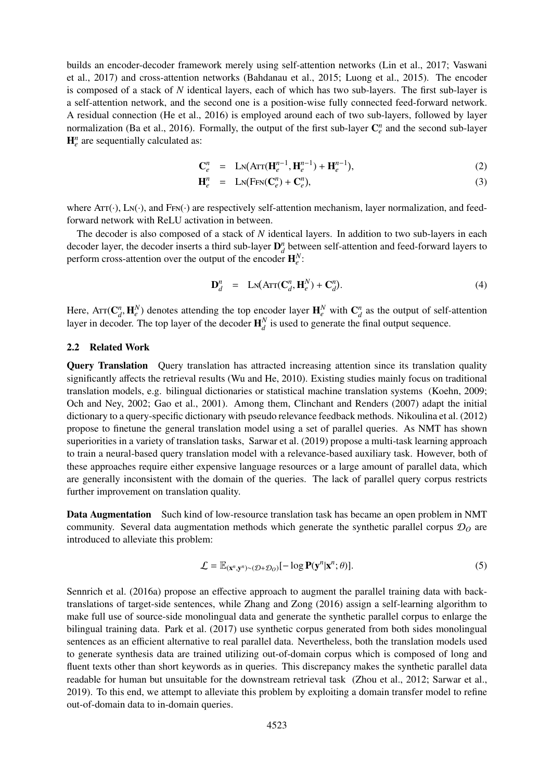builds an encoder-decoder framework merely using self-attention networks (Lin et al., 2017; Vaswani et al., 2017) and cross-attention networks (Bahdanau et al., 2015; Luong et al., 2015). The encoder is composed of a stack of *N* identical layers, each of which has two sub-layers. The first sub-layer is a self-attention network, and the second one is a position-wise fully connected feed-forward network. A residual connection (He et al., 2016) is employed around each of two sub-layers, followed by layer normalization (Ba et al., 2016). Formally, the output of the first sub-layer  $\mathbb{C}_e^n$  and the second sub-layer  $H^n_e$  are sequentially calculated as:

$$
\mathbf{C}_{e}^{n} = \mathbf{L} \mathbf{N} (\mathbf{A} \mathbf{T} (\mathbf{H}_{e}^{n-1}, \mathbf{H}_{e}^{n-1}) + \mathbf{H}_{e}^{n-1}),
$$
\n(2)

$$
\mathbf{H}_{e}^{n} = \mathbf{L}_{N}(\text{FFN}(\mathbf{C}_{e}^{n}) + \mathbf{C}_{e}^{n}), \qquad (3)
$$

where  $Arr(\cdot)$ , Ln( $\cdot$ ), and  $F_{FN}(\cdot)$  are respectively self-attention mechanism, layer normalization, and feedforward network with ReLU activation in between.

The decoder is also composed of a stack of *N* identical layers. In addition to two sub-layers in each decoder layer, the decoder inserts a third sub-layer  $\mathbf{D}_d^n$  between self-attention and feed-forward layers to perform cross-attention over the output of the encoder  $\mathbf{H}_{e}^{N}$ :

$$
\mathbf{D}_d^n = \mathbf{L}\mathbf{N}(\mathbf{A}\mathbf{r}\mathbf{r}(\mathbf{C}_d^n, \mathbf{H}_e^N) + \mathbf{C}_d^n). \tag{4}
$$

Here,  $\text{Arr}(\mathbf{C}_d^n, \mathbf{H}_e^N)$  denotes attending the top encoder layer  $\mathbf{H}_e^N$  with  $\mathbf{C}_d^n$  as the output of self-attention layer in decoder. The top layer of the decoder  $\mathbf{H}^N$  is used to generate the final layer in decoder. The top layer of the decoder  $\mathbf{H}_{d}^{N}$  is used to generate the final output sequence.

#### 2.2 Related Work

**Query Translation** Query translation has attracted increasing attention since its translation quality significantly affects the retrieval results (Wu and He, 2010). Existing studies mainly focus on traditional translation models, e.g. bilingual dictionaries or statistical machine translation systems (Koehn, 2009; Och and Ney, 2002; Gao et al., 2001). Among them, Clinchant and Renders (2007) adapt the initial dictionary to a query-specific dictionary with pseudo relevance feedback methods. Nikoulina et al. (2012) propose to finetune the general translation model using a set of parallel queries. As NMT has shown superiorities in a variety of translation tasks, Sarwar et al. (2019) propose a multi-task learning approach to train a neural-based query translation model with a relevance-based auxiliary task. However, both of these approaches require either expensive language resources or a large amount of parallel data, which are generally inconsistent with the domain of the queries. The lack of parallel query corpus restricts further improvement on translation quality.

Data Augmentation Such kind of low-resource translation task has became an open problem in NMT community. Several data augmentation methods which generate the synthetic parallel corpus D*<sup>O</sup>* are introduced to alleviate this problem:

$$
\mathcal{L} = \mathbb{E}_{(\mathbf{x}^n, \mathbf{y}^n) \sim (\mathcal{D} + \mathcal{D}_O)}[-\log \mathbf{P}(\mathbf{y}^n | \mathbf{x}^n; \theta)].
$$
\n(5)

Sennrich et al. (2016a) propose an effective approach to augment the parallel training data with backtranslations of target-side sentences, while Zhang and Zong (2016) assign a self-learning algorithm to make full use of source-side monolingual data and generate the synthetic parallel corpus to enlarge the bilingual training data. Park et al. (2017) use synthetic corpus generated from both sides monolingual sentences as an efficient alternative to real parallel data. Nevertheless, both the translation models used to generate synthesis data are trained utilizing out-of-domain corpus which is composed of long and fluent texts other than short keywords as in queries. This discrepancy makes the synthetic parallel data readable for human but unsuitable for the downstream retrieval task (Zhou et al., 2012; Sarwar et al., 2019). To this end, we attempt to alleviate this problem by exploiting a domain transfer model to refine out-of-domain data to in-domain queries.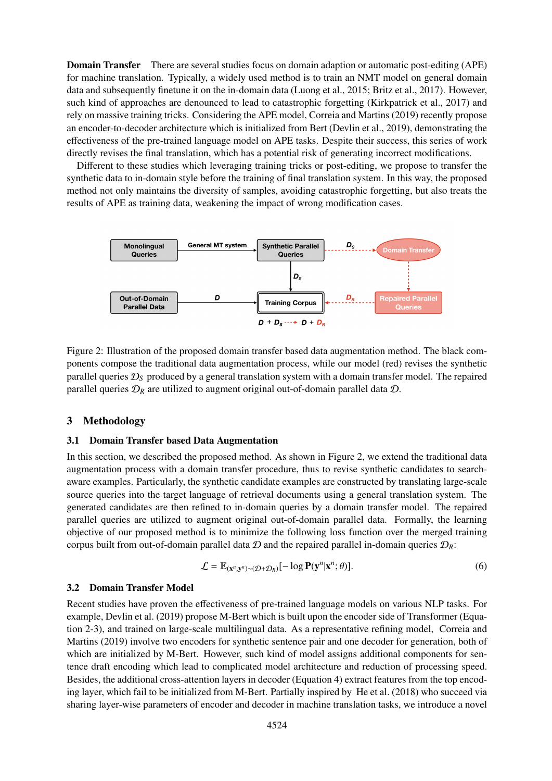**Domain Transfer** There are several studies focus on domain adaption or automatic post-editing (APE) for machine translation. Typically, a widely used method is to train an NMT model on general domain data and subsequently finetune it on the in-domain data (Luong et al., 2015; Britz et al., 2017). However, such kind of approaches are denounced to lead to catastrophic forgetting (Kirkpatrick et al., 2017) and rely on massive training tricks. Considering the APE model, Correia and Martins (2019) recently propose an encoder-to-decoder architecture which is initialized from Bert (Devlin et al., 2019), demonstrating the effectiveness of the pre-trained language model on APE tasks. Despite their success, this series of work directly revises the final translation, which has a potential risk of generating incorrect modifications.

Different to these studies which leveraging training tricks or post-editing, we propose to transfer the synthetic data to in-domain style before the training of final translation system. In this way, the proposed method not only maintains the diversity of samples, avoiding catastrophic forgetting, but also treats the results of APE as training data, weakening the impact of wrong modification cases.



Figure 2: Illustration of the proposed domain transfer based data augmentation method. The black components compose the traditional data augmentation process, while our model (red) revises the synthetic parallel queries  $\mathcal{D}_S$  produced by a general translation system with a domain transfer model. The repaired parallel queries  $\mathcal{D}_R$  are utilized to augment original out-of-domain parallel data  $\mathcal{D}$ .

### 3 Methodology

#### 3.1 Domain Transfer based Data Augmentation

In this section, we described the proposed method. As shown in Figure 2, we extend the traditional data augmentation process with a domain transfer procedure, thus to revise synthetic candidates to searchaware examples. Particularly, the synthetic candidate examples are constructed by translating large-scale source queries into the target language of retrieval documents using a general translation system. The generated candidates are then refined to in-domain queries by a domain transfer model. The repaired parallel queries are utilized to augment original out-of-domain parallel data. Formally, the learning objective of our proposed method is to minimize the following loss function over the merged training corpus built from out-of-domain parallel data  $D$  and the repaired parallel in-domain queries  $D_R$ :

$$
\mathcal{L} = \mathbb{E}_{(\mathbf{x}^n, \mathbf{y}^n) \sim (\mathcal{D} + \mathcal{D}_R)}[-\log \mathbf{P}(\mathbf{y}^n | \mathbf{x}^n; \theta)].
$$
\n(6)

#### 3.2 Domain Transfer Model

Recent studies have proven the effectiveness of pre-trained language models on various NLP tasks. For example, Devlin et al. (2019) propose M-Bert which is built upon the encoder side of Transformer (Equation 2-3), and trained on large-scale multilingual data. As a representative refining model, Correia and Martins (2019) involve two encoders for synthetic sentence pair and one decoder for generation, both of which are initialized by M-Bert. However, such kind of model assigns additional components for sentence draft encoding which lead to complicated model architecture and reduction of processing speed. Besides, the additional cross-attention layers in decoder (Equation 4) extract features from the top encoding layer, which fail to be initialized from M-Bert. Partially inspired by He et al. (2018) who succeed via sharing layer-wise parameters of encoder and decoder in machine translation tasks, we introduce a novel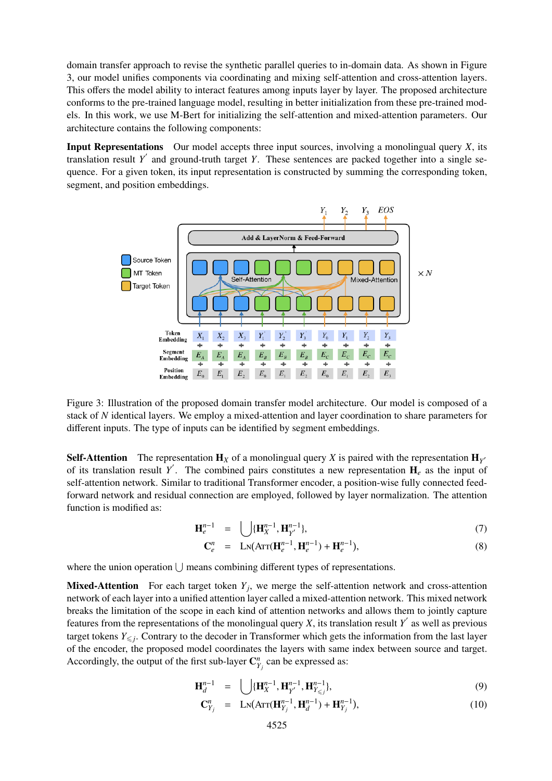domain transfer approach to revise the synthetic parallel queries to in-domain data. As shown in Figure 3, our model unifies components via coordinating and mixing self-attention and cross-attention layers. This offers the model ability to interact features among inputs layer by layer. The proposed architecture conforms to the pre-trained language model, resulting in better initialization from these pre-trained models. In this work, we use M-Bert for initializing the self-attention and mixed-attention parameters. Our architecture contains the following components:

Input Representations Our model accepts three input sources, involving a monolingual query *X*, its translation result *Y'* and ground-truth target *Y*. These sentences are packed together into a single sequence. For a given token, its input representation is constructed by summing the corresponding token, segment, and position embeddings.



Figure 3: Illustration of the proposed domain transfer model architecture. Our model is composed of a stack of *N* identical layers. We employ a mixed-attention and layer coordination to share parameters for different inputs. The type of inputs can be identified by segment embeddings.

**Self-Attention** The representation  $\mathbf{H}_X$  of a monolingual query *X* is paired with the representation  $\mathbf{H}_{Y}$ of its translation result Y<sup>'</sup>. The combined pairs constitutes a new representation  $H_e$  as the input of self-attention network. Similar to traditional Transformer encoder, a position-wise fully connected feedforward network and residual connection are employed, followed by layer normalization. The attention function is modified as:

$$
\mathbf{H}_{e}^{n-1} = \bigcup{\{\mathbf{H}_{X}^{n-1}, \mathbf{H}_{Y}^{n-1}\}},\tag{7}
$$

$$
\mathbf{C}_{e}^{n} = \mathbf{L} \mathbf{N} (\mathbf{A} \mathbf{r} \mathbf{r} (\mathbf{H}_{e}^{n-1}, \mathbf{H}_{e}^{n-1}) + \mathbf{H}_{e}^{n-1}), \tag{8}
$$

where the union operation  $\bigcup$  means combining different types of representations.

**Mixed-Attention** For each target token  $Y_j$ , we merge the self-attention network and cross-attention network of each layer into a unified attention layer called a mixed-attention network. This mixed network breaks the limitation of the scope in each kind of attention networks and allows them to jointly capture features from the representations of the monolingual query *X*, its translation result  $Y'$  as well as previous target tokens  $Y_{\leq j}$ . Contrary to the decoder in Transformer which gets the information from the last layer of the encoder, the proposed model coordinates the layers with same index between source and target. Accordingly, the output of the first sub-layer  $\mathbb{C}_{Y_j}^n$  can be expressed as:

$$
\mathbf{H}_{d}^{n-1} = \bigcup{\{\mathbf{H}_{X}^{n-1}, \mathbf{H}_{Y}^{n-1}, \mathbf{H}_{Y\leq j}^{n-1}\}},\tag{9}
$$

$$
\mathbf{C}_{Y_j}^n = \mathbf{LN}(\mathbf{A} \mathbf{TT}(\mathbf{H}_{Y_j}^{n-1}, \mathbf{H}_d^{n-1}) + \mathbf{H}_{Y_j}^{n-1}), \tag{10}
$$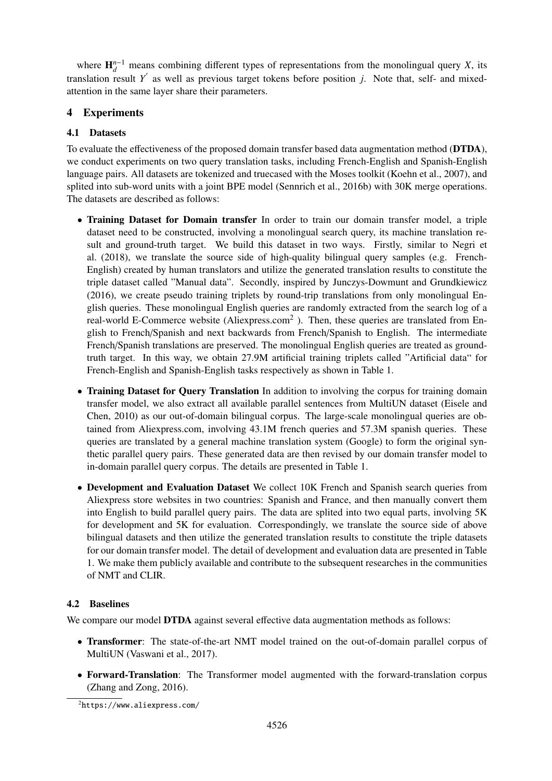where  $\mathbf{H}_{d}^{n-1}$  means combining different types of representations from the monolingual query *X*, its translation result  $Y'$  as well as previous target tokens before position *j*. Note that, self- and mixedattention in the same layer share their parameters.

# 4 Experiments

### 4.1 Datasets

To evaluate the effectiveness of the proposed domain transfer based data augmentation method (DTDA), we conduct experiments on two query translation tasks, including French-English and Spanish-English language pairs. All datasets are tokenized and truecased with the Moses toolkit (Koehn et al., 2007), and splited into sub-word units with a joint BPE model (Sennrich et al., 2016b) with 30K merge operations. The datasets are described as follows:

- Training Dataset for Domain transfer In order to train our domain transfer model, a triple dataset need to be constructed, involving a monolingual search query, its machine translation result and ground-truth target. We build this dataset in two ways. Firstly, similar to Negri et al. (2018), we translate the source side of high-quality bilingual query samples (e.g. French-English) created by human translators and utilize the generated translation results to constitute the triple dataset called "Manual data". Secondly, inspired by Junczys-Dowmunt and Grundkiewicz (2016), we create pseudo training triplets by round-trip translations from only monolingual English queries. These monolingual English queries are randomly extracted from the search log of a real-world E-Commerce website (Aliexpress.com<sup>2</sup>). Then, these queries are translated from English to French/Spanish and next backwards from French/Spanish to English. The intermediate French/Spanish translations are preserved. The monolingual English queries are treated as groundtruth target. In this way, we obtain 27.9M artificial training triplets called "Artificial data" for French-English and Spanish-English tasks respectively as shown in Table 1.
- Training Dataset for Query Translation In addition to involving the corpus for training domain transfer model, we also extract all available parallel sentences from MultiUN dataset (Eisele and Chen, 2010) as our out-of-domain bilingual corpus. The large-scale monolingual queries are obtained from Aliexpress.com, involving 43.1M french queries and 57.3M spanish queries. These queries are translated by a general machine translation system (Google) to form the original synthetic parallel query pairs. These generated data are then revised by our domain transfer model to in-domain parallel query corpus. The details are presented in Table 1.
- Development and Evaluation Dataset We collect 10K French and Spanish search queries from Aliexpress store websites in two countries: Spanish and France, and then manually convert them into English to build parallel query pairs. The data are splited into two equal parts, involving 5K for development and 5K for evaluation. Correspondingly, we translate the source side of above bilingual datasets and then utilize the generated translation results to constitute the triple datasets for our domain transfer model. The detail of development and evaluation data are presented in Table 1. We make them publicly available and contribute to the subsequent researches in the communities of NMT and CLIR.

## 4.2 Baselines

We compare our model **DTDA** against several effective data augmentation methods as follows:

- Transformer: The state-of-the-art NMT model trained on the out-of-domain parallel corpus of MultiUN (Vaswani et al., 2017).
- Forward-Translation: The Transformer model augmented with the forward-translation corpus (Zhang and Zong, 2016).

2https://www.aliexpress.com/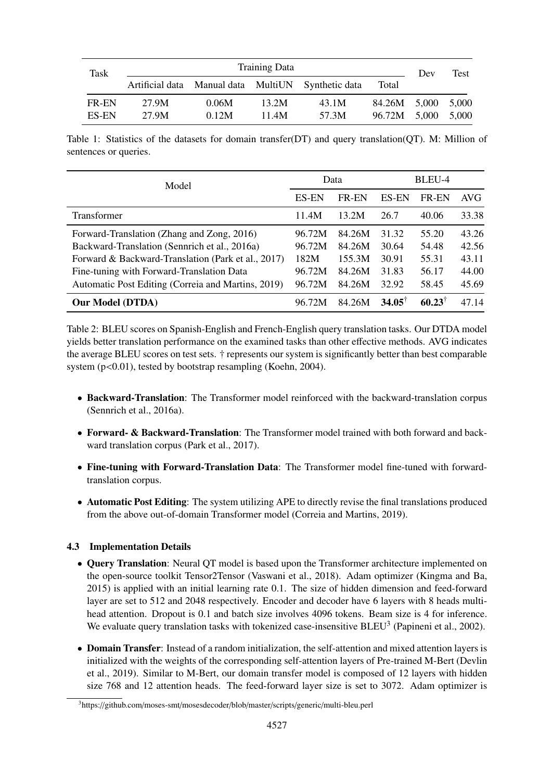| Task  | <b>Training Data</b> |       |       |                                                    |                    |       | Test  |
|-------|----------------------|-------|-------|----------------------------------------------------|--------------------|-------|-------|
|       |                      |       |       | Artificial data Manual data MultiUN Synthetic data | Total              | Dev   |       |
| FR-EN | 27.9M                | 0.06M | 13.2M | 43.1M                                              | 84.26M 5.000 5.000 |       |       |
| ES-EN | 27.9M                | 0.12M | 11.4M | 57.3M                                              | 96.72M             | 5,000 | 5.000 |

Table 1: Statistics of the datasets for domain transfer(DT) and query translation(QT). M: Million of sentences or queries.

| Model                                              | Data         |              | BLEU-4          |                      |       |
|----------------------------------------------------|--------------|--------------|-----------------|----------------------|-------|
|                                                    | <b>ES-EN</b> | <b>FR-EN</b> | <b>ES-EN</b>    | <b>FR-EN</b>         | AVG   |
| Transformer                                        | 11.4M        | 13.2M        | 26.7            | 40.06                | 33.38 |
| Forward-Translation (Zhang and Zong, 2016)         | 96.72M       | 84.26M       | 31.32           | 55.20                | 43.26 |
| Backward-Translation (Sennrich et al., 2016a)      | 96.72M       | 84.26M       | 30.64           | 54.48                | 42.56 |
| Forward & Backward-Translation (Park et al., 2017) | 182M         | 155.3M       | 30.91           | 55.31                | 43.11 |
| Fine-tuning with Forward-Translation Data          | 96.72M       | 84.26M       | 31.83           | 56.17                | 44.00 |
| Automatic Post Editing (Correia and Martins, 2019) | 96.72M       | 84.26M       | 32.92           | 58.45                | 45.69 |
| <b>Our Model (DTDA)</b>                            | 96.72M       | 84.26M       | $34.05^{\circ}$ | $60.23$ <sup>T</sup> | 47.14 |

Table 2: BLEU scores on Spanish-English and French-English query translation tasks. Our DTDA model yields better translation performance on the examined tasks than other effective methods. AVG indicates the average BLEU scores on test sets. † represents our system is significantly better than best comparable system (p<0.01), tested by bootstrap resampling (Koehn, 2004).

- Backward-Translation: The Transformer model reinforced with the backward-translation corpus (Sennrich et al., 2016a).
- Forward- & Backward-Translation: The Transformer model trained with both forward and backward translation corpus (Park et al., 2017).
- Fine-tuning with Forward-Translation Data: The Transformer model fine-tuned with forwardtranslation corpus.
- Automatic Post Editing: The system utilizing APE to directly revise the final translations produced from the above out-of-domain Transformer model (Correia and Martins, 2019).

## 4.3 Implementation Details

- Query Translation: Neural QT model is based upon the Transformer architecture implemented on the open-source toolkit Tensor2Tensor (Vaswani et al., 2018). Adam optimizer (Kingma and Ba, 2015) is applied with an initial learning rate 0.1. The size of hidden dimension and feed-forward layer are set to 512 and 2048 respectively. Encoder and decoder have 6 layers with 8 heads multihead attention. Dropout is 0.1 and batch size involves 4096 tokens. Beam size is 4 for inference. We evaluate query translation tasks with tokenized case-insensitive  $BLEU^3$  (Papineni et al., 2002).
- Domain Transfer: Instead of a random initialization, the self-attention and mixed attention layers is initialized with the weights of the corresponding self-attention layers of Pre-trained M-Bert (Devlin et al., 2019). Similar to M-Bert, our domain transfer model is composed of 12 layers with hidden size 768 and 12 attention heads. The feed-forward layer size is set to 3072. Adam optimizer is

<sup>3</sup>https://github.com/moses-smt/mosesdecoder/blob/master/scripts/generic/multi-bleu.perl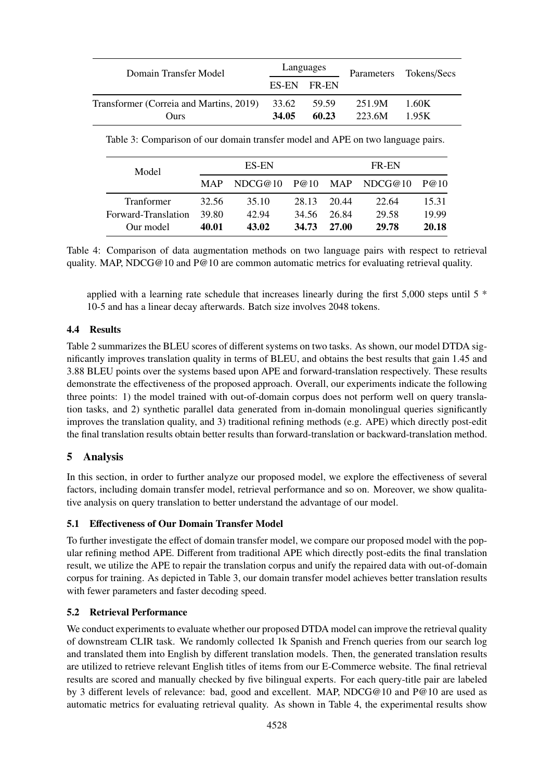| Domain Transfer Model                   | Languages   |       |        | Parameters Tokens/Secs |  |
|-----------------------------------------|-------------|-------|--------|------------------------|--|
|                                         | ES-EN FR-EN |       |        |                        |  |
| Transformer (Correia and Martins, 2019) | 33.62       | 59.59 | 251.9M | 1.60K                  |  |
| Ours                                    | 34.05       | 60.23 | 223.6M | 195K                   |  |

| Table 3: Comparison of our domain transfer model and APE on two language pairs. |  |
|---------------------------------------------------------------------------------|--|
|---------------------------------------------------------------------------------|--|

| Model                                                 | ES-EN                   |                         |                         | FR-EN                   |                         |                         |  |
|-------------------------------------------------------|-------------------------|-------------------------|-------------------------|-------------------------|-------------------------|-------------------------|--|
|                                                       | <b>MAP</b>              | NDCG@10                 | P@10                    |                         | MAP NDCG@10             | P@10                    |  |
| <b>Tranformer</b><br>Forward-Translation<br>Our model | 32.56<br>39.80<br>40.01 | 35.10<br>42.94<br>43.02 | 28.13<br>34.56<br>34.73 | 20.44<br>26.84<br>27.00 | 22.64<br>29.58<br>29.78 | 15.31<br>19.99<br>20.18 |  |

Table 4: Comparison of data augmentation methods on two language pairs with respect to retrieval quality. MAP, NDCG@10 and P@10 are common automatic metrics for evaluating retrieval quality.

applied with a learning rate schedule that increases linearly during the first 5,000 steps until 5 \* 10-5 and has a linear decay afterwards. Batch size involves 2048 tokens.

### 4.4 Results

Table 2 summarizes the BLEU scores of different systems on two tasks. As shown, our model DTDA significantly improves translation quality in terms of BLEU, and obtains the best results that gain 1.45 and 3.88 BLEU points over the systems based upon APE and forward-translation respectively. These results demonstrate the effectiveness of the proposed approach. Overall, our experiments indicate the following three points: 1) the model trained with out-of-domain corpus does not perform well on query translation tasks, and 2) synthetic parallel data generated from in-domain monolingual queries significantly improves the translation quality, and 3) traditional refining methods (e.g. APE) which directly post-edit the final translation results obtain better results than forward-translation or backward-translation method.

# 5 Analysis

In this section, in order to further analyze our proposed model, we explore the effectiveness of several factors, including domain transfer model, retrieval performance and so on. Moreover, we show qualitative analysis on query translation to better understand the advantage of our model.

### 5.1 Effectiveness of Our Domain Transfer Model

To further investigate the effect of domain transfer model, we compare our proposed model with the popular refining method APE. Different from traditional APE which directly post-edits the final translation result, we utilize the APE to repair the translation corpus and unify the repaired data with out-of-domain corpus for training. As depicted in Table 3, our domain transfer model achieves better translation results with fewer parameters and faster decoding speed.

### 5.2 Retrieval Performance

We conduct experiments to evaluate whether our proposed DTDA model can improve the retrieval quality of downstream CLIR task. We randomly collected 1k Spanish and French queries from our search log and translated them into English by different translation models. Then, the generated translation results are utilized to retrieve relevant English titles of items from our E-Commerce website. The final retrieval results are scored and manually checked by five bilingual experts. For each query-title pair are labeled by 3 different levels of relevance: bad, good and excellent. MAP, NDCG@10 and P@10 are used as automatic metrics for evaluating retrieval quality. As shown in Table 4, the experimental results show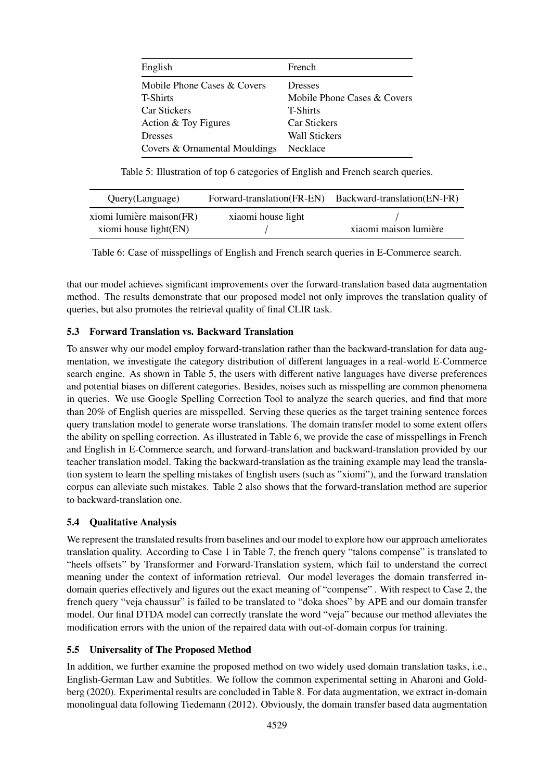| English                       | French                      |
|-------------------------------|-----------------------------|
| Mobile Phone Cases & Covers   | <b>Dresses</b>              |
| <b>T-Shirts</b>               | Mobile Phone Cases & Covers |
| <b>Car Stickers</b>           | <b>T-Shirts</b>             |
| Action & Toy Figures          | <b>Car Stickers</b>         |
| <b>Dresses</b>                | <b>Wall Stickers</b>        |
| Covers & Ornamental Mouldings | Necklace                    |

Table 5: Illustration of top 6 categories of English and French search queries.

| Query(Language)          | Forward-translation(FR-EN) | Backward-translation(EN-FR) |
|--------------------------|----------------------------|-----------------------------|
| xiomi lumière maison(FR) | xiaomi house light         |                             |
| xiomi house light(EN)    |                            | xiaomi maison lumière       |

Table 6: Case of misspellings of English and French search queries in E-Commerce search.

that our model achieves significant improvements over the forward-translation based data augmentation method. The results demonstrate that our proposed model not only improves the translation quality of queries, but also promotes the retrieval quality of final CLIR task.

### 5.3 Forward Translation vs. Backward Translation

To answer why our model employ forward-translation rather than the backward-translation for data augmentation, we investigate the category distribution of different languages in a real-world E-Commerce search engine. As shown in Table 5, the users with different native languages have diverse preferences and potential biases on different categories. Besides, noises such as misspelling are common phenomena in queries. We use Google Spelling Correction Tool to analyze the search queries, and find that more than 20% of English queries are misspelled. Serving these queries as the target training sentence forces query translation model to generate worse translations. The domain transfer model to some extent offers the ability on spelling correction. As illustrated in Table 6, we provide the case of misspellings in French and English in E-Commerce search, and forward-translation and backward-translation provided by our teacher translation model. Taking the backward-translation as the training example may lead the translation system to learn the spelling mistakes of English users (such as "xiomi"), and the forward translation corpus can alleviate such mistakes. Table 2 also shows that the forward-translation method are superior to backward-translation one.

### 5.4 Qualitative Analysis

We represent the translated results from baselines and our model to explore how our approach ameliorates translation quality. According to Case 1 in Table 7, the french query "talons compense" is translated to "heels offsets" by Transformer and Forward-Translation system, which fail to understand the correct meaning under the context of information retrieval. Our model leverages the domain transferred indomain queries effectively and figures out the exact meaning of "compense" . With respect to Case 2, the french query "veja chaussur" is failed to be translated to "doka shoes" by APE and our domain transfer model. Our final DTDA model can correctly translate the word "veja" because our method alleviates the modification errors with the union of the repaired data with out-of-domain corpus for training.

### 5.5 Universality of The Proposed Method

In addition, we further examine the proposed method on two widely used domain translation tasks, i.e., English-German Law and Subtitles. We follow the common experimental setting in Aharoni and Goldberg (2020). Experimental results are concluded in Table 8. For data augmentation, we extract in-domain monolingual data following Tiedemann (2012). Obviously, the domain transfer based data augmentation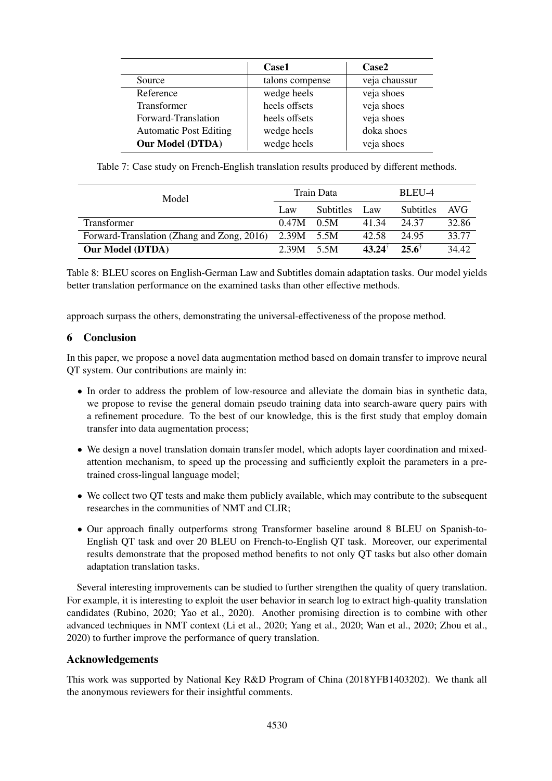|                               | Case1           | Case2         |
|-------------------------------|-----------------|---------------|
| Source                        | talons compense | veja chaussur |
| Reference                     | wedge heels     | veja shoes    |
| Transformer                   | heels offsets   | veja shoes    |
| Forward-Translation           | heels offsets   | veja shoes    |
| <b>Automatic Post Editing</b> | wedge heels     | doka shoes    |
| <b>Our Model (DTDA)</b>       | wedge heels     | veja shoes    |

Table 7: Case study on French-English translation results produced by different methods.

| Model                                      |       | Train Data       | BLEU-4               |                  |       |
|--------------------------------------------|-------|------------------|----------------------|------------------|-------|
|                                            | Law   | <b>Subtitles</b> | Law                  | <b>Subtitles</b> | AVG   |
| <b>Transformer</b>                         | 0.47M | 0.5M             | 41.34                | 24.37            | 32.86 |
| Forward-Translation (Zhang and Zong, 2016) | 2.39M | 5.5M             | 42.58                | 24.95            | 33.77 |
| <b>Our Model (DTDA)</b>                    | 2.39M | 5.5M             | $43.24$ <sup>T</sup> | $25.6^{\dagger}$ | 34.42 |

Table 8: BLEU scores on English-German Law and Subtitles domain adaptation tasks. Our model yields better translation performance on the examined tasks than other effective methods.

approach surpass the others, demonstrating the universal-effectiveness of the propose method.

## 6 Conclusion

In this paper, we propose a novel data augmentation method based on domain transfer to improve neural QT system. Our contributions are mainly in:

- In order to address the problem of low-resource and alleviate the domain bias in synthetic data, we propose to revise the general domain pseudo training data into search-aware query pairs with a refinement procedure. To the best of our knowledge, this is the first study that employ domain transfer into data augmentation process;
- We design a novel translation domain transfer model, which adopts layer coordination and mixedattention mechanism, to speed up the processing and sufficiently exploit the parameters in a pretrained cross-lingual language model;
- We collect two QT tests and make them publicly available, which may contribute to the subsequent researches in the communities of NMT and CLIR;
- Our approach finally outperforms strong Transformer baseline around 8 BLEU on Spanish-to-English QT task and over 20 BLEU on French-to-English QT task. Moreover, our experimental results demonstrate that the proposed method benefits to not only QT tasks but also other domain adaptation translation tasks.

Several interesting improvements can be studied to further strengthen the quality of query translation. For example, it is interesting to exploit the user behavior in search log to extract high-quality translation candidates (Rubino, 2020; Yao et al., 2020). Another promising direction is to combine with other advanced techniques in NMT context (Li et al., 2020; Yang et al., 2020; Wan et al., 2020; Zhou et al., 2020) to further improve the performance of query translation.

## Acknowledgements

This work was supported by National Key R&D Program of China (2018YFB1403202). We thank all the anonymous reviewers for their insightful comments.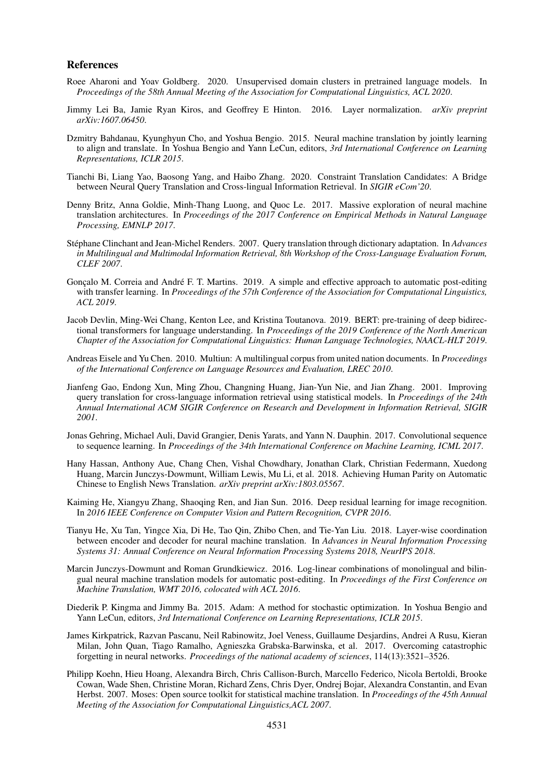#### References

- Roee Aharoni and Yoav Goldberg. 2020. Unsupervised domain clusters in pretrained language models. In *Proceedings of the 58th Annual Meeting of the Association for Computational Linguistics, ACL 2020*.
- Jimmy Lei Ba, Jamie Ryan Kiros, and Geoffrey E Hinton. 2016. Layer normalization. *arXiv preprint arXiv:1607.06450*.
- Dzmitry Bahdanau, Kyunghyun Cho, and Yoshua Bengio. 2015. Neural machine translation by jointly learning to align and translate. In Yoshua Bengio and Yann LeCun, editors, *3rd International Conference on Learning Representations, ICLR 2015*.
- Tianchi Bi, Liang Yao, Baosong Yang, and Haibo Zhang. 2020. Constraint Translation Candidates: A Bridge between Neural Query Translation and Cross-lingual Information Retrieval. In *SIGIR eCom'20*.
- Denny Britz, Anna Goldie, Minh-Thang Luong, and Quoc Le. 2017. Massive exploration of neural machine translation architectures. In *Proceedings of the 2017 Conference on Empirical Methods in Natural Language Processing, EMNLP 2017*.
- Stéphane Clinchant and Jean-Michel Renders. 2007. Query translation through dictionary adaptation. In *Advances in Multilingual and Multimodal Information Retrieval, 8th Workshop of the Cross-Language Evaluation Forum, CLEF 2007*.
- Gonçalo M. Correia and André F. T. Martins. 2019. A simple and effective approach to automatic post-editing with transfer learning. In *Proceedings of the 57th Conference of the Association for Computational Linguistics, ACL 2019*.
- Jacob Devlin, Ming-Wei Chang, Kenton Lee, and Kristina Toutanova. 2019. BERT: pre-training of deep bidirectional transformers for language understanding. In *Proceedings of the 2019 Conference of the North American Chapter of the Association for Computational Linguistics: Human Language Technologies, NAACL-HLT 2019*.
- Andreas Eisele and Yu Chen. 2010. Multiun: A multilingual corpus from united nation documents. In *Proceedings of the International Conference on Language Resources and Evaluation, LREC 2010*.
- Jianfeng Gao, Endong Xun, Ming Zhou, Changning Huang, Jian-Yun Nie, and Jian Zhang. 2001. Improving query translation for cross-language information retrieval using statistical models. In *Proceedings of the 24th Annual International ACM SIGIR Conference on Research and Development in Information Retrieval, SIGIR 2001*.
- Jonas Gehring, Michael Auli, David Grangier, Denis Yarats, and Yann N. Dauphin. 2017. Convolutional sequence to sequence learning. In *Proceedings of the 34th International Conference on Machine Learning, ICML 2017*.
- Hany Hassan, Anthony Aue, Chang Chen, Vishal Chowdhary, Jonathan Clark, Christian Federmann, Xuedong Huang, Marcin Junczys-Dowmunt, William Lewis, Mu Li, et al. 2018. Achieving Human Parity on Automatic Chinese to English News Translation. *arXiv preprint arXiv:1803.05567*.
- Kaiming He, Xiangyu Zhang, Shaoqing Ren, and Jian Sun. 2016. Deep residual learning for image recognition. In *2016 IEEE Conference on Computer Vision and Pattern Recognition, CVPR 2016*.
- Tianyu He, Xu Tan, Yingce Xia, Di He, Tao Qin, Zhibo Chen, and Tie-Yan Liu. 2018. Layer-wise coordination between encoder and decoder for neural machine translation. In *Advances in Neural Information Processing Systems 31: Annual Conference on Neural Information Processing Systems 2018, NeurIPS 2018*.
- Marcin Junczys-Dowmunt and Roman Grundkiewicz. 2016. Log-linear combinations of monolingual and bilingual neural machine translation models for automatic post-editing. In *Proceedings of the First Conference on Machine Translation, WMT 2016, colocated with ACL 2016*.
- Diederik P. Kingma and Jimmy Ba. 2015. Adam: A method for stochastic optimization. In Yoshua Bengio and Yann LeCun, editors, *3rd International Conference on Learning Representations, ICLR 2015*.
- James Kirkpatrick, Razvan Pascanu, Neil Rabinowitz, Joel Veness, Guillaume Desjardins, Andrei A Rusu, Kieran Milan, John Quan, Tiago Ramalho, Agnieszka Grabska-Barwinska, et al. 2017. Overcoming catastrophic forgetting in neural networks. *Proceedings of the national academy of sciences*, 114(13):3521–3526.
- Philipp Koehn, Hieu Hoang, Alexandra Birch, Chris Callison-Burch, Marcello Federico, Nicola Bertoldi, Brooke Cowan, Wade Shen, Christine Moran, Richard Zens, Chris Dyer, Ondrej Bojar, Alexandra Constantin, and Evan Herbst. 2007. Moses: Open source toolkit for statistical machine translation. In *Proceedings of the 45th Annual Meeting of the Association for Computational Linguistics,ACL 2007*.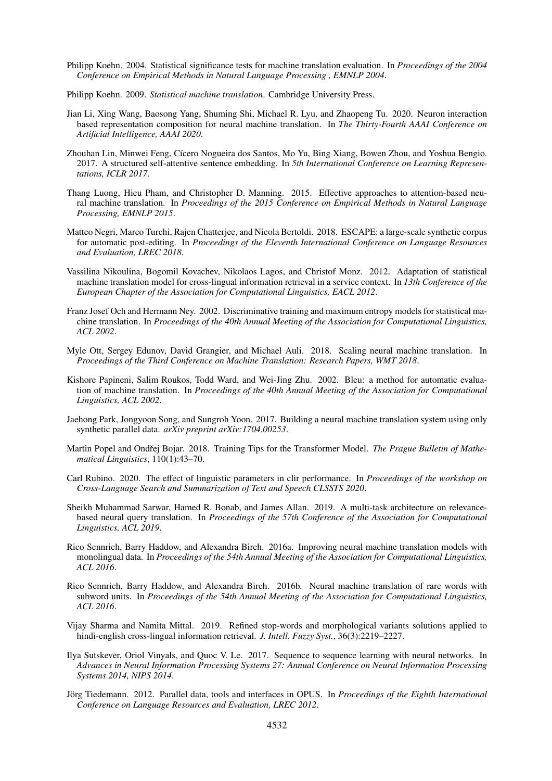- Philipp Koehn. 2004. Statistical significance tests for machine translation evaluation. In *Proceedings of the 2004 Conference on Empirical Methods in Natural Language Processing , EMNLP 2004*.
- Philipp Koehn. 2009. *Statistical machine translation*. Cambridge University Press.
- Jian Li, Xing Wang, Baosong Yang, Shuming Shi, Michael R. Lyu, and Zhaopeng Tu. 2020. Neuron interaction based representation composition for neural machine translation. In *The Thirty-Fourth AAAI Conference on Artificial Intelligence, AAAI 2020*.
- Zhouhan Lin, Minwei Feng, Cícero Nogueira dos Santos, Mo Yu, Bing Xiang, Bowen Zhou, and Yoshua Bengio. 2017. A structured self-attentive sentence embedding. In *5th International Conference on Learning Representations, ICLR 2017*.
- Thang Luong, Hieu Pham, and Christopher D. Manning. 2015. Effective approaches to attention-based neural machine translation. In *Proceedings of the 2015 Conference on Empirical Methods in Natural Language Processing, EMNLP 2015*.
- Matteo Negri, Marco Turchi, Rajen Chatterjee, and Nicola Bertoldi. 2018. ESCAPE: a large-scale synthetic corpus for automatic post-editing. In *Proceedings of the Eleventh International Conference on Language Resources and Evaluation, LREC 2018*.
- Vassilina Nikoulina, Bogomil Kovachev, Nikolaos Lagos, and Christof Monz. 2012. Adaptation of statistical machine translation model for cross-lingual information retrieval in a service context. In *13th Conference of the European Chapter of the Association for Computational Linguistics, EACL 2012*.
- Franz Josef Och and Hermann Ney. 2002. Discriminative training and maximum entropy models for statistical machine translation. In *Proceedings of the 40th Annual Meeting of the Association for Computational Linguistics, ACL 2002*.
- Myle Ott, Sergey Edunov, David Grangier, and Michael Auli. 2018. Scaling neural machine translation. In *Proceedings of the Third Conference on Machine Translation: Research Papers, WMT 2018*.
- Kishore Papineni, Salim Roukos, Todd Ward, and Wei-Jing Zhu. 2002. Bleu: a method for automatic evaluation of machine translation. In *Proceedings of the 40th Annual Meeting of the Association for Computational Linguistics, ACL 2002*.
- Jaehong Park, Jongyoon Song, and Sungroh Yoon. 2017. Building a neural machine translation system using only synthetic parallel data. *arXiv preprint arXiv:1704.00253*.
- Martin Popel and Ondřej Bojar. 2018. Training Tips for the Transformer Model. *The Prague Bulletin of Mathematical Linguistics*, 110(1):43–70.
- Carl Rubino. 2020. The effect of linguistic parameters in clir performance. In *Proceedings of the workshop on Cross-Language Search and Summarization of Text and Speech CLSSTS 2020*.
- Sheikh Muhammad Sarwar, Hamed R. Bonab, and James Allan. 2019. A multi-task architecture on relevancebased neural query translation. In *Proceedings of the 57th Conference of the Association for Computational Linguistics, ACL 2019*.
- Rico Sennrich, Barry Haddow, and Alexandra Birch. 2016a. Improving neural machine translation models with monolingual data. In *Proceedings of the 54th Annual Meeting of the Association for Computational Linguistics, ACL 2016*.
- Rico Sennrich, Barry Haddow, and Alexandra Birch. 2016b. Neural machine translation of rare words with subword units. In *Proceedings of the 54th Annual Meeting of the Association for Computational Linguistics, ACL 2016*.
- Vijay Sharma and Namita Mittal. 2019. Refined stop-words and morphological variants solutions applied to hindi-english cross-lingual information retrieval. *J. Intell. Fuzzy Syst.*, 36(3):2219–2227.
- Ilya Sutskever, Oriol Vinyals, and Quoc V. Le. 2017. Sequence to sequence learning with neural networks. In *Advances in Neural Information Processing Systems 27: Annual Conference on Neural Information Processing Systems 2014, NIPS 2014*.
- Jörg Tiedemann. 2012. Parallel data, tools and interfaces in OPUS. In *Proceedings of the Eighth International Conference on Language Resources and Evaluation, LREC 2012*.